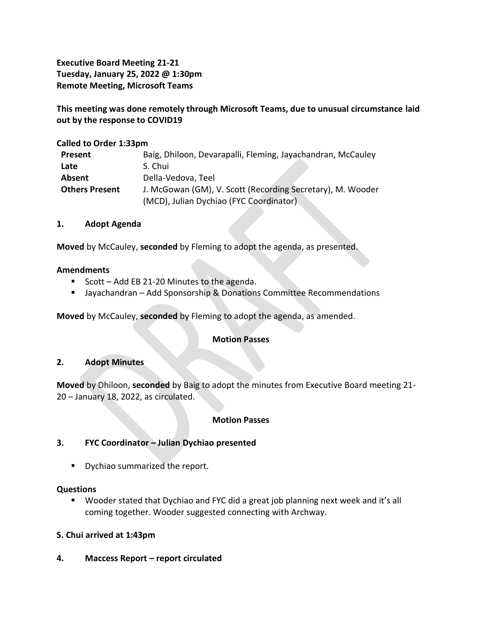**Executive Board Meeting 21-21 Tuesday, January 25, 2022 @ 1:30pm Remote Meeting, Microsoft Teams**

**This meeting was done remotely through Microsoft Teams, due to unusual circumstance laid out by the response to COVID19**

## **Called to Order 1:33pm**

| <b>Present</b>        | Baig, Dhiloon, Devarapalli, Fleming, Jayachandran, McCauley |
|-----------------------|-------------------------------------------------------------|
| Late                  | S. Chui                                                     |
| Absent                | Della-Vedova, Teel                                          |
| <b>Others Present</b> | J. McGowan (GM), V. Scott (Recording Secretary), M. Wooder  |
|                       | (MCD), Julian Dychiao (FYC Coordinator)                     |

## **1. Adopt Agenda**

**Moved** by McCauley, **seconded** by Fleming to adopt the agenda, as presented.

## **Amendments**

- Scott Add EB 21-20 Minutes to the agenda.
- Jayachandran Add Sponsorship & Donations Committee Recommendations

**Moved** by McCauley, **seconded** by Fleming to adopt the agenda, as amended.

## **Motion Passes**

## **2. Adopt Minutes**

**Moved** by Dhiloon, **seconded** by Baig to adopt the minutes from Executive Board meeting 21- 20 – January 18, 2022, as circulated.

## **Motion Passes**

## **3. FYC Coordinator – Julian Dychiao presented**

**•** Dychiao summarized the report.

## **Questions**

■ Wooder stated that Dychiao and FYC did a great job planning next week and it's all coming together. Wooder suggested connecting with Archway.

## **S. Chui arrived at 1:43pm**

**4. Maccess Report – report circulated**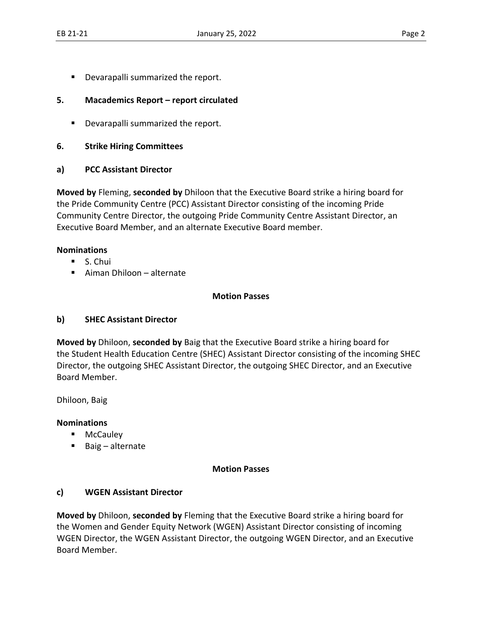■ Devarapalli summarized the report.

# **5. Macademics Report – report circulated**

■ Devarapalli summarized the report.

## **6. Strike Hiring Committees**

## **a) PCC Assistant Director**

**Moved by** Fleming, **seconded by** Dhiloon that the Executive Board strike a hiring board for the Pride Community Centre (PCC) Assistant Director consisting of the incoming Pride Community Centre Director, the outgoing Pride Community Centre Assistant Director, an Executive Board Member, and an alternate Executive Board member.

## **Nominations**

- S. Chui
- Aiman Dhiloon alternate

## **Motion Passes**

## **b) SHEC Assistant Director**

**Moved by** Dhiloon, **seconded by** Baig that the Executive Board strike a hiring board for the Student Health Education Centre (SHEC) Assistant Director consisting of the incoming SHEC Director, the outgoing SHEC Assistant Director, the outgoing SHEC Director, and an Executive Board Member. 

Dhiloon, Baig

## **Nominations**

- **McCauley**
- $Baig alternate$

#### **Motion Passes**

## **c) WGEN Assistant Director**

**Moved by** Dhiloon, **seconded by** Fleming that the Executive Board strike a hiring board for the Women and Gender Equity Network (WGEN) Assistant Director consisting of incoming WGEN Director, the WGEN Assistant Director, the outgoing WGEN Director, and an Executive Board Member.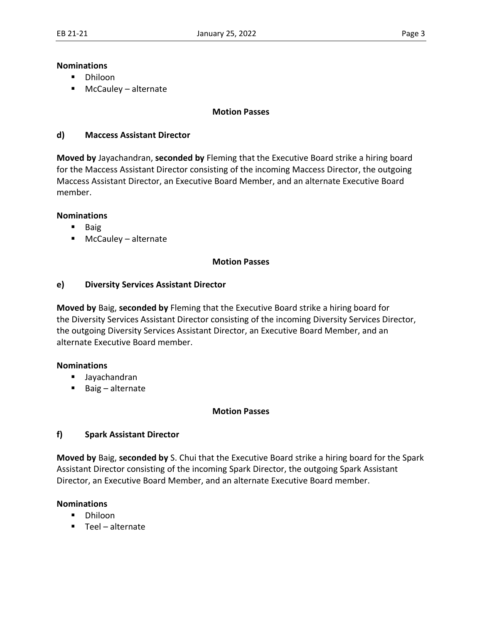#### **Nominations**

- Dhiloon
- McCauley alternate

### **Motion Passes**

#### **d) Maccess Assistant Director**

**Moved by** Jayachandran, **seconded by** Fleming that the Executive Board strike a hiring board for the Maccess Assistant Director consisting of the incoming Maccess Director, the outgoing Maccess Assistant Director, an Executive Board Member, and an alternate Executive Board member.

#### **Nominations**

- **Baig**
- McCauley alternate

#### **Motion Passes**

#### **e) Diversity Services Assistant Director**

**Moved by** Baig, **seconded by** Fleming that the Executive Board strike a hiring board for the Diversity Services Assistant Director consisting of the incoming Diversity Services Director, the outgoing Diversity Services Assistant Director, an Executive Board Member, and an alternate Executive Board member.

#### **Nominations**

- Jayachandran
- Baig alternate

#### **Motion Passes**

## **f) Spark Assistant Director**

**Moved by** Baig, **seconded by** S. Chui that the Executive Board strike a hiring board for the Spark Assistant Director consisting of the incoming Spark Director, the outgoing Spark Assistant Director, an Executive Board Member, and an alternate Executive Board member.

## **Nominations**

- **Dhiloon**
- Teel alternate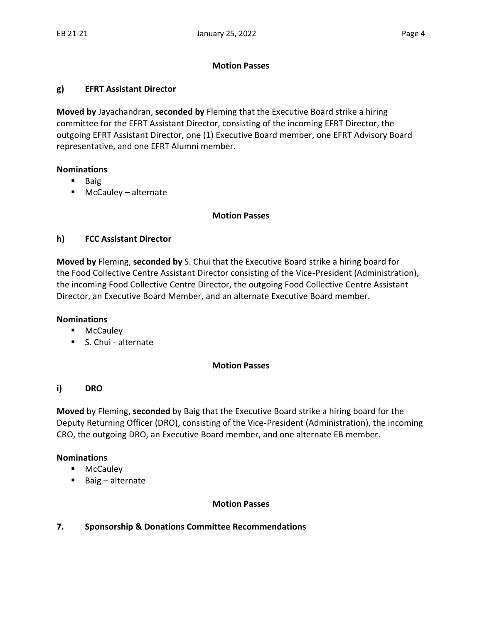## **Motion Passes**

## **g) EFRT Assistant Director**

**Moved by** Jayachandran, **seconded by** Fleming that the Executive Board strike a hiring committee for the EFRT Assistant Director, consisting of the incoming EFRT Director, the outgoing EFRT Assistant Director, one (1) Executive Board member, one EFRT Advisory Board representative, and one EFRT Alumni member.

## **Nominations**

- Baig
- $McCaulev alternate$

#### **Motion Passes**

## **h) FCC Assistant Director**

**Moved by** Fleming, **seconded by** S. Chui that the Executive Board strike a hiring board for the Food Collective Centre Assistant Director consisting of the Vice-President (Administration), the incoming Food Collective Centre Director, the outgoing Food Collective Centre Assistant Director, an Executive Board Member, and an alternate Executive Board member.

#### **Nominations**

- McCauley
- S. Chui alternate

## **Motion Passes**

## **i) DRO**

**Moved** by Fleming, **seconded** by Baig that the Executive Board strike a hiring board for the Deputy Returning Officer (DRO), consisting of the Vice-President (Administration), the incoming CRO, the outgoing DRO, an Executive Board member, and one alternate EB member.

#### **Nominations**

- McCauley
- Baig alternate

## **Motion Passes**

## **7. Sponsorship & Donations Committee Recommendations**